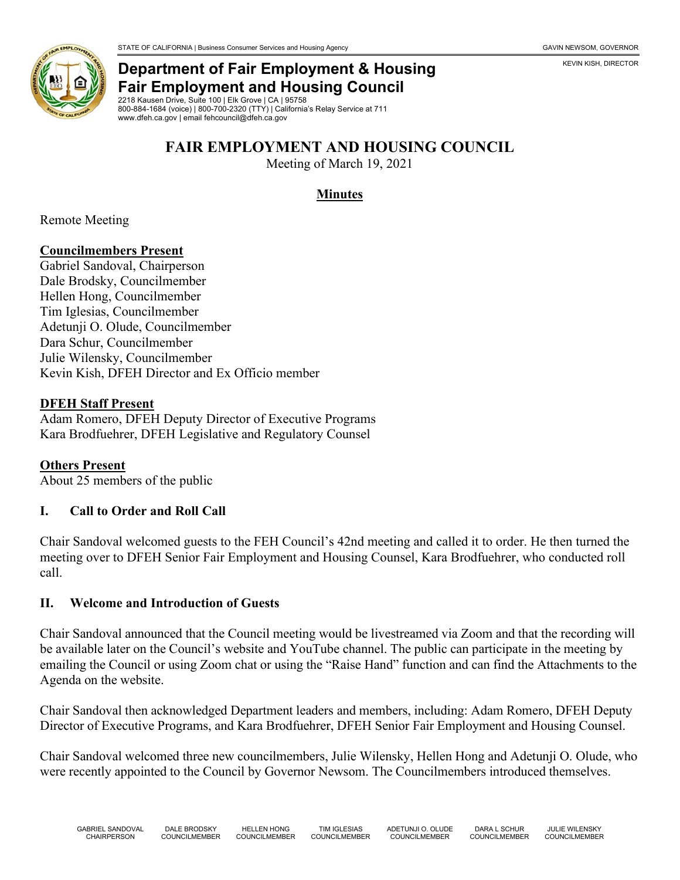

# **Department of Fair Employment & Housing Fair Employment and Housing Council**

2218 Kausen Drive, Suite 100 | Elk Grove | CA | 95758 800-884-1684 (voice) | 800-700-2320 (TTY) | California's Relay Service at 711 www.dfeh.ca.gov | email fehcouncil@dfeh.ca.gov

# **FAIR EMPLOYMENT AND HOUSING COUNCIL**

Meeting of March 19, 2021

### **Minutes**

Remote Meeting

#### **Councilmembers Present**

Gabriel Sandoval, Chairperson Dale Brodsky, Councilmember Hellen Hong, Councilmember Tim Iglesias, Councilmember Adetunji O. Olude, Councilmember Dara Schur, Councilmember Julie Wilensky, Councilmember Kevin Kish, DFEH Director and Ex Officio member

#### **DFEH Staff Present**

Adam Romero, DFEH Deputy Director of Executive Programs Kara Brodfuehrer, DFEH Legislative and Regulatory Counsel

**Others Present** About 25 members of the public

#### **I. Call to Order and Roll Call**

Chair Sandoval welcomed guests to the FEH Council's 42nd meeting and called it to order. He then turned the meeting over to DFEH Senior Fair Employment and Housing Counsel, Kara Brodfuehrer, who conducted roll call.

#### **II. Welcome and Introduction of Guests**

Chair Sandoval announced that the Council meeting would be livestreamed via Zoom and that the recording will be available later on the Council's website and YouTube channel. The public can participate in the meeting by emailing the Council or using Zoom chat or using the "Raise Hand" function and can find the Attachments to the Agenda on the website.

Chair Sandoval then acknowledged Department leaders and members, including: Adam Romero, DFEH Deputy Director of Executive Programs, and Kara Brodfuehrer, DFEH Senior Fair Employment and Housing Counsel.

Chair Sandoval welcomed three new councilmembers, Julie Wilensky, Hellen Hong and Adetunji O. Olude, who were recently appointed to the Council by Governor Newsom. The Councilmembers introduced themselves.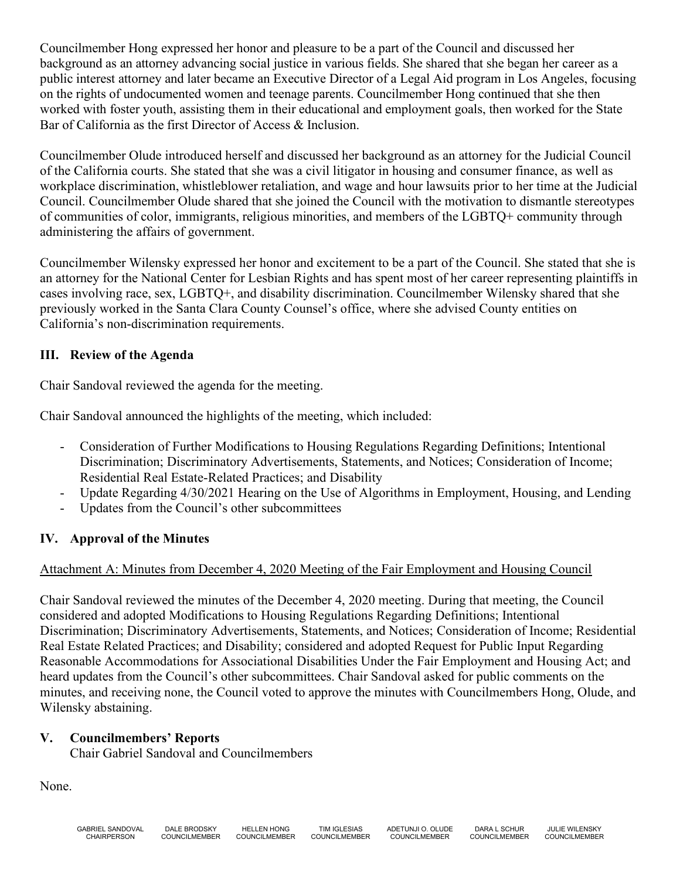Councilmember Hong expressed her honor and pleasure to be a part of the Council and discussed her background as an attorney advancing social justice in various fields. She shared that she began her career as a public interest attorney and later became an Executive Director of a Legal Aid program in Los Angeles, focusing on the rights of undocumented women and teenage parents. Councilmember Hong continued that she then worked with foster youth, assisting them in their educational and employment goals, then worked for the State Bar of California as the first Director of Access & Inclusion.

Councilmember Olude introduced herself and discussed her background as an attorney for the Judicial Council of the California courts. She stated that she was a civil litigator in housing and consumer finance, as well as workplace discrimination, whistleblower retaliation, and wage and hour lawsuits prior to her time at the Judicial Council. Councilmember Olude shared that she joined the Council with the motivation to dismantle stereotypes of communities of color, immigrants, religious minorities, and members of the LGBTQ+ community through administering the affairs of government.

Councilmember Wilensky expressed her honor and excitement to be a part of the Council. She stated that she is an attorney for the National Center for Lesbian Rights and has spent most of her career representing plaintiffs in cases involving race, sex, LGBTQ+, and disability discrimination. Councilmember Wilensky shared that she previously worked in the Santa Clara County Counsel's office, where she advised County entities on California's non-discrimination requirements.

### **III. Review of the Agenda**

Chair Sandoval reviewed the agenda for the meeting.

Chair Sandoval announced the highlights of the meeting, which included:

- Consideration of Further Modifications to Housing Regulations Regarding Definitions; Intentional Discrimination; Discriminatory Advertisements, Statements, and Notices; Consideration of Income; Residential Real Estate-Related Practices; and Disability
- Update Regarding 4/30/2021 Hearing on the Use of Algorithms in Employment, Housing, and Lending
- Updates from the Council's other subcommittees

#### **IV. Approval of the Minutes**

#### Attachment A: Minutes from December 4, 2020 Meeting of the Fair Employment and Housing Council

Chair Sandoval reviewed the minutes of the December 4, 2020 meeting. During that meeting, the Council considered and adopted Modifications to Housing Regulations Regarding Definitions; Intentional Discrimination; Discriminatory Advertisements, Statements, and Notices; Consideration of Income; Residential Real Estate Related Practices; and Disability; considered and adopted Request for Public Input Regarding Reasonable Accommodations for Associational Disabilities Under the Fair Employment and Housing Act; and heard updates from the Council's other subcommittees. Chair Sandoval asked for public comments on the minutes, and receiving none, the Council voted to approve the minutes with Councilmembers Hong, Olude, and Wilensky abstaining.

#### **V. Councilmembers' Reports**

Chair Gabriel Sandoval and Councilmembers

None.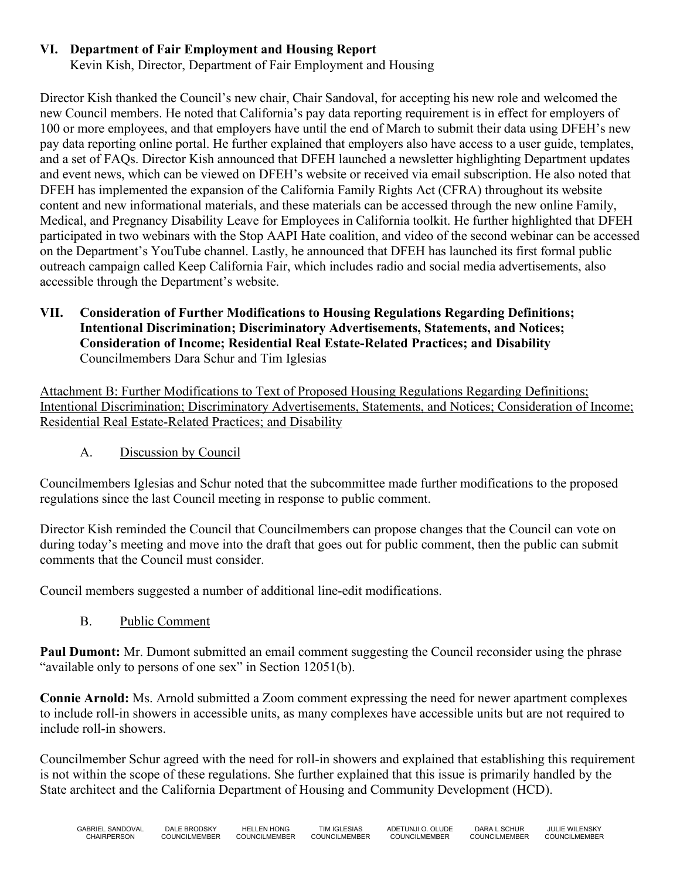# **VI. Department of Fair Employment and Housing Report**

Kevin Kish, Director, Department of Fair Employment and Housing

Director Kish thanked the Council's new chair, Chair Sandoval, for accepting his new role and welcomed the new Council members. He noted that California's pay data reporting requirement is in effect for employers of 100 or more employees, and that employers have until the end of March to submit their data using DFEH's new pay data reporting online portal. He further explained that employers also have access to a user guide, templates, and a set of FAQs. Director Kish announced that DFEH launched a newsletter highlighting Department updates and event news, which can be viewed on DFEH's website or received via email subscription. He also noted that DFEH has implemented the expansion of the California Family Rights Act (CFRA) throughout its website content and new informational materials, and these materials can be accessed through the new online Family, Medical, and Pregnancy Disability Leave for Employees in California toolkit. He further highlighted that DFEH participated in two webinars with the Stop AAPI Hate coalition, and video of the second webinar can be accessed on the Department's YouTube channel. Lastly, he announced that DFEH has launched its first formal public outreach campaign called Keep California Fair, which includes radio and social media advertisements, also accessible through the Department's website.

### **VII. Consideration of Further Modifications to Housing Regulations Regarding Definitions; Intentional Discrimination; Discriminatory Advertisements, Statements, and Notices; Consideration of Income; Residential Real Estate-Related Practices; and Disability** Councilmembers Dara Schur and Tim Iglesias

Attachment B: Further Modifications to Text of Proposed Housing Regulations Regarding Definitions; Intentional Discrimination; Discriminatory Advertisements, Statements, and Notices; Consideration of Income; Residential Real Estate-Related Practices; and Disability

A. Discussion by Council

Councilmembers Iglesias and Schur noted that the subcommittee made further modifications to the proposed regulations since the last Council meeting in response to public comment.

Director Kish reminded the Council that Councilmembers can propose changes that the Council can vote on during today's meeting and move into the draft that goes out for public comment, then the public can submit comments that the Council must consider.

Council members suggested a number of additional line-edit modifications.

B. Public Comment

**Paul Dumont:** Mr. Dumont submitted an email comment suggesting the Council reconsider using the phrase "available only to persons of one sex" in Section 12051(b).

**Connie Arnold:** Ms. Arnold submitted a Zoom comment expressing the need for newer apartment complexes to include roll-in showers in accessible units, as many complexes have accessible units but are not required to include roll-in showers.

Councilmember Schur agreed with the need for roll-in showers and explained that establishing this requirement is not within the scope of these regulations. She further explained that this issue is primarily handled by the State architect and the California Department of Housing and Community Development (HCD).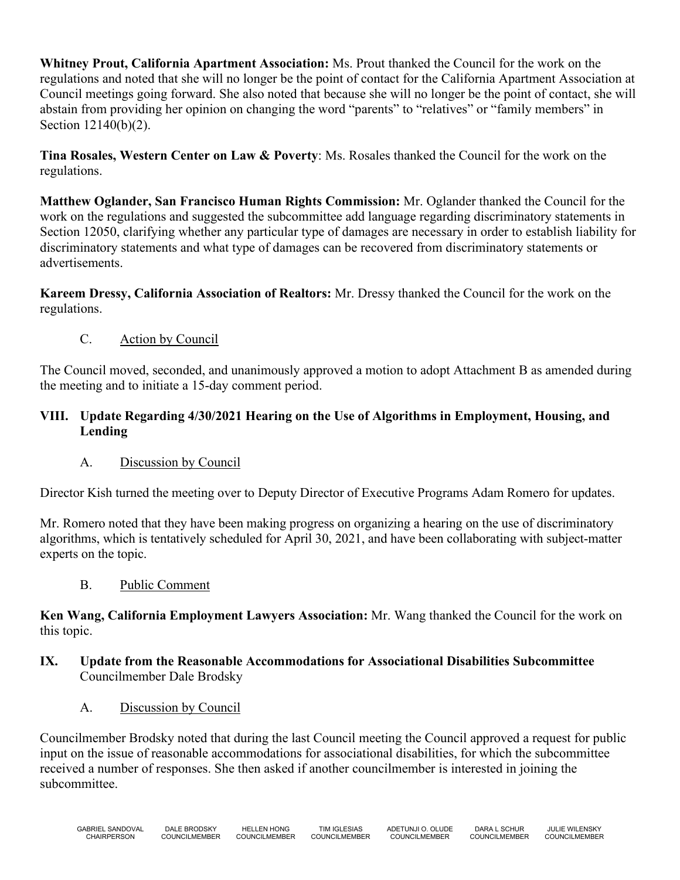**Whitney Prout, California Apartment Association:** Ms. Prout thanked the Council for the work on the regulations and noted that she will no longer be the point of contact for the California Apartment Association at Council meetings going forward. She also noted that because she will no longer be the point of contact, she will abstain from providing her opinion on changing the word "parents" to "relatives" or "family members" in Section 12140(b)(2).

**Tina Rosales, Western Center on Law & Poverty**: Ms. Rosales thanked the Council for the work on the regulations.

**Matthew Oglander, San Francisco Human Rights Commission:** Mr. Oglander thanked the Council for the work on the regulations and suggested the subcommittee add language regarding discriminatory statements in Section 12050, clarifying whether any particular type of damages are necessary in order to establish liability for discriminatory statements and what type of damages can be recovered from discriminatory statements or advertisements.

**Kareem Dressy, California Association of Realtors:** Mr. Dressy thanked the Council for the work on the regulations.

C. Action by Council

The Council moved, seconded, and unanimously approved a motion to adopt Attachment B as amended during the meeting and to initiate a 15-day comment period.

# **VIII. Update Regarding 4/30/2021 Hearing on the Use of Algorithms in Employment, Housing, and Lending**

A. Discussion by Council

Director Kish turned the meeting over to Deputy Director of Executive Programs Adam Romero for updates.

Mr. Romero noted that they have been making progress on organizing a hearing on the use of discriminatory algorithms, which is tentatively scheduled for April 30, 2021, and have been collaborating with subject-matter experts on the topic.

B. Public Comment

**Ken Wang, California Employment Lawyers Association:** Mr. Wang thanked the Council for the work on this topic.

#### **IX. Update from the Reasonable Accommodations for Associational Disabilities Subcommittee** Councilmember Dale Brodsky

A. Discussion by Council

Councilmember Brodsky noted that during the last Council meeting the Council approved a request for public input on the issue of reasonable accommodations for associational disabilities, for which the subcommittee received a number of responses. She then asked if another councilmember is interested in joining the subcommittee.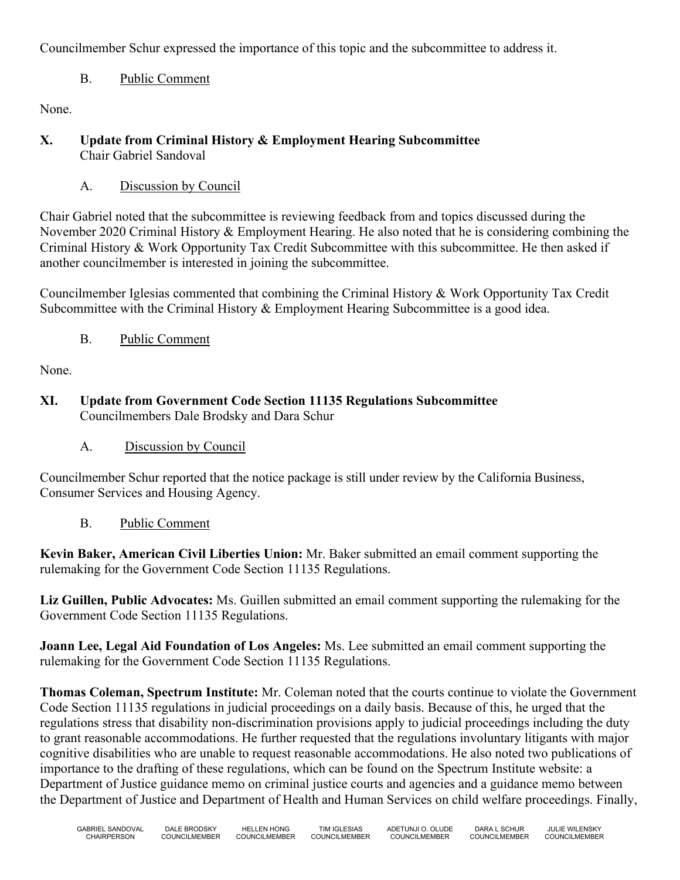Councilmember Schur expressed the importance of this topic and the subcommittee to address it.

# B. Public Comment

None.

- **X. Update from Criminal History & Employment Hearing Subcommittee** Chair Gabriel Sandoval
	- A. Discussion by Council

Chair Gabriel noted that the subcommittee is reviewing feedback from and topics discussed during the November 2020 Criminal History & Employment Hearing. He also noted that he is considering combining the Criminal History & Work Opportunity Tax Credit Subcommittee with this subcommittee. He then asked if another councilmember is interested in joining the subcommittee.

Councilmember Iglesias commented that combining the Criminal History & Work Opportunity Tax Credit Subcommittee with the Criminal History & Employment Hearing Subcommittee is a good idea.

B. Public Comment

None.

- **XI. Update from Government Code Section 11135 Regulations Subcommittee** Councilmembers Dale Brodsky and Dara Schur
	- A. Discussion by Council

Councilmember Schur reported that the notice package is still under review by the California Business, Consumer Services and Housing Agency.

B. Public Comment

**Kevin Baker, American Civil Liberties Union:** Mr. Baker submitted an email comment supporting the rulemaking for the Government Code Section 11135 Regulations.

**Liz Guillen, Public Advocates:** Ms. Guillen submitted an email comment supporting the rulemaking for the Government Code Section 11135 Regulations.

**Joann Lee, Legal Aid Foundation of Los Angeles:** Ms. Lee submitted an email comment supporting the rulemaking for the Government Code Section 11135 Regulations.

**Thomas Coleman, Spectrum Institute:** Mr. Coleman noted that the courts continue to violate the Government Code Section 11135 regulations in judicial proceedings on a daily basis. Because of this, he urged that the regulations stress that disability non-discrimination provisions apply to judicial proceedings including the duty to grant reasonable accommodations. He further requested that the regulations involuntary litigants with major cognitive disabilities who are unable to request reasonable accommodations. He also noted two publications of importance to the drafting of these regulations, which can be found on the Spectrum Institute website: a Department of Justice guidance memo on criminal justice courts and agencies and a guidance memo between the Department of Justice and Department of Health and Human Services on child welfare proceedings. Finally,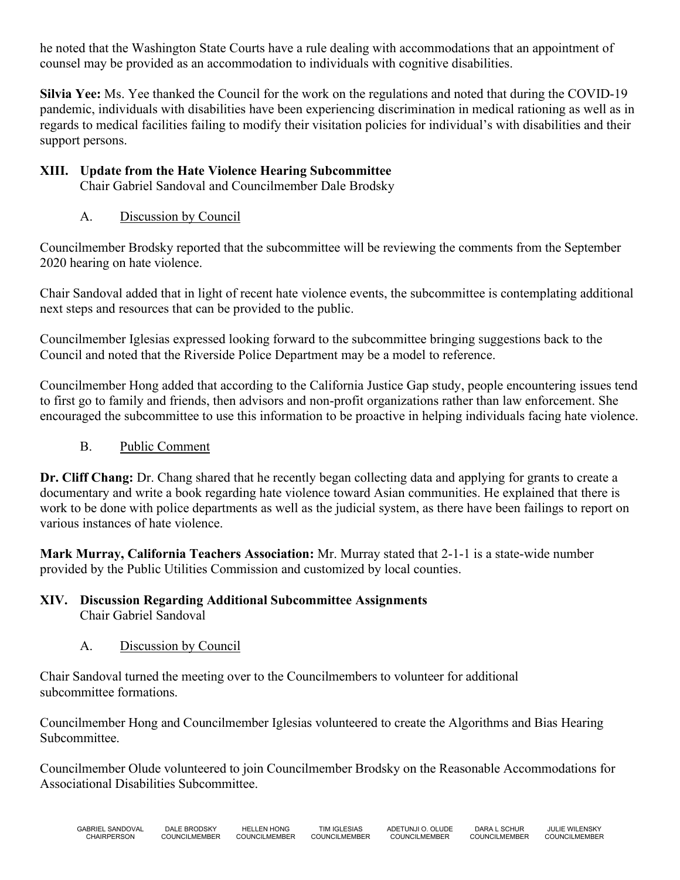he noted that the Washington State Courts have a rule dealing with accommodations that an appointment of counsel may be provided as an accommodation to individuals with cognitive disabilities.

**Silvia Yee:** Ms. Yee thanked the Council for the work on the regulations and noted that during the COVID-19 pandemic, individuals with disabilities have been experiencing discrimination in medical rationing as well as in regards to medical facilities failing to modify their visitation policies for individual's with disabilities and their support persons.

# **XIII. Update from the Hate Violence Hearing Subcommittee**

Chair Gabriel Sandoval and Councilmember Dale Brodsky

# A. Discussion by Council

Councilmember Brodsky reported that the subcommittee will be reviewing the comments from the September 2020 hearing on hate violence.

Chair Sandoval added that in light of recent hate violence events, the subcommittee is contemplating additional next steps and resources that can be provided to the public.

Councilmember Iglesias expressed looking forward to the subcommittee bringing suggestions back to the Council and noted that the Riverside Police Department may be a model to reference.

Councilmember Hong added that according to the California Justice Gap study, people encountering issues tend to first go to family and friends, then advisors and non-profit organizations rather than law enforcement. She encouraged the subcommittee to use this information to be proactive in helping individuals facing hate violence.

# B. Public Comment

**Dr. Cliff Chang:** Dr. Chang shared that he recently began collecting data and applying for grants to create a documentary and write a book regarding hate violence toward Asian communities. He explained that there is work to be done with police departments as well as the judicial system, as there have been failings to report on various instances of hate violence.

**Mark Murray, California Teachers Association:** Mr. Murray stated that 2-1-1 is a state-wide number provided by the Public Utilities Commission and customized by local counties.

#### **XIV. Discussion Regarding Additional Subcommittee Assignments** Chair Gabriel Sandoval

# A. Discussion by Council

Chair Sandoval turned the meeting over to the Councilmembers to volunteer for additional subcommittee formations.

Councilmember Hong and Councilmember Iglesias volunteered to create the Algorithms and Bias Hearing Subcommittee.

Councilmember Olude volunteered to join Councilmember Brodsky on the Reasonable Accommodations for Associational Disabilities Subcommittee.